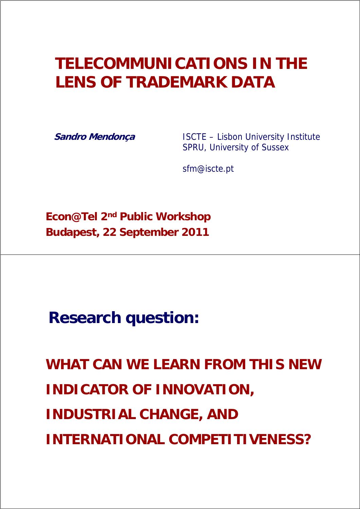# **TELECOMMUNICATIONS IN THE LENS OF TRADEMARK DATA**

**Sandro Mendonça** ISCTE – Lisbon University Institute SPRU, University of Sussex

sfm@iscte.pt

**Econ@Tel 2nd Public Workshop Budapest, 22 September 2011**

**Research question:**

**WHAT CAN WE LEARN FROM THIS NEW INDICATOR OF INNOVATION, INDUSTRIAL CHANGE, AND INTERNATIONAL COMPETITIVENESS?**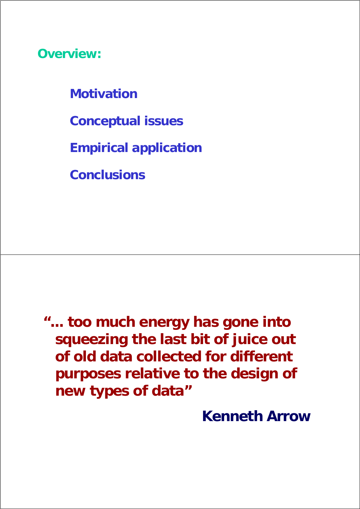**Overview:**

**Motivation**

**Conceptual issues**

**Empirical application**

**Conclusions**

**"... too much energy has gone into squeezing the last bit of juice out of old data collected for different purposes relative to the design of new types of data"**

**Kenneth Arrow**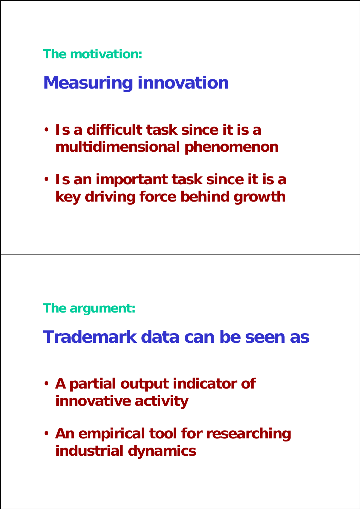**The motivation:**

**Measuring innovation**

- **Is a difficult task since it is a multidimensional phenomenon**
- **Is an important task since it is a key driving force behind growth**

**The argument:**

**Trademark data can be seen as**

- **A partial output indicator of innovative activity**
- **An empirical tool for researching industrial dynamics**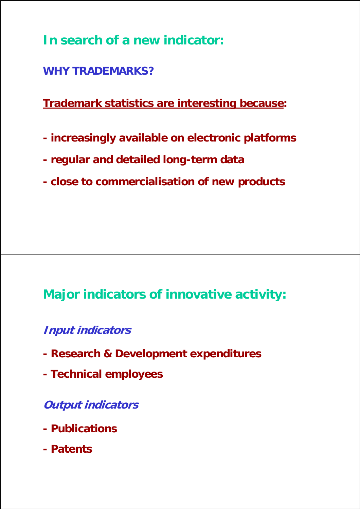**In search of a new indicator:**

**WHY TRADEMARKS?**

**Trademark statistics are interesting because:**

- **increasingly available on electronic platforms**
- **regular and detailed long-term data**
- **close to commercialisation of new products**

## **Major indicators of innovative activity:**

**Input indicators**

- **Research & Development expenditures**
- **Technical employees**

**Output indicators**

- **Publications**
- **Patents**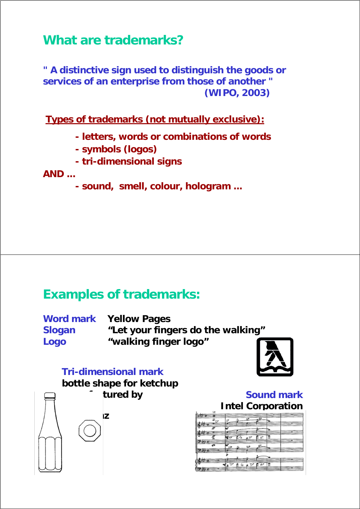### **What are trademarks?**

**" A distinctive sign used to distinguish the goods or services of an enterprise from those of another " (WIPO, 2003)**

**Types of trademarks (not mutually exclusive):**

- **letters, words or combinations of words**
- **symbols (logos)**
- **tri-dimensional signs**

#### **AND ...**

**- sound, smell, colour, hologram ...**

### **Examples of trademarks:**

| <b>Word mark</b> | <b>Yellow Pages</b>               |
|------------------|-----------------------------------|
| <b>Slogan</b>    | "Let your fingers do the walking" |
| Logo             | "walking finger logo"             |

#### **Tri-dimensional mark**

**bottle shape for ketchup** 





#### **Sound mark Intel Corporation**

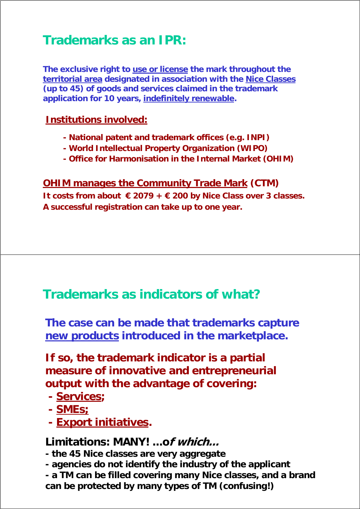## **Trademarks as an IPR:**

**The exclusive right to use or license the mark throughout the territorial area designated in association with the Nice Classes (up to 45) of goods and services claimed in the trademark application for 10 years, indefinitely renewable.**

#### **Institutions involved:**

- **National patent and trademark offices (e.g. INPI)**
- **World Intellectual Property Organization (WIPO)**
- **Office for Harmonisation in the Internal Market (OHIM)**

#### **OHIM manages the Community Trade Mark (CTM) It costs from about € 2079 + € 200 by Nice Class over 3 classes. A successful registration can take up to one year.**

### **Trademarks as indicators of what?**

**The case can be made that trademarks capture new products introduced in the marketplace.**

#### **If so, the trademark indicator is a partial measure of innovative and entrepreneurial output with the advantage of covering:**

- **Services;**
- **SMEs;**
- **Export initiatives.**

### **Limitations: MANY! ...of which...**

**- the 45 Nice classes are very aggregate**

- **agencies do not identify the industry of the applicant**
- **a TM can be filled covering many Nice classes, and a brand can be protected by many types of TM (confusing!)**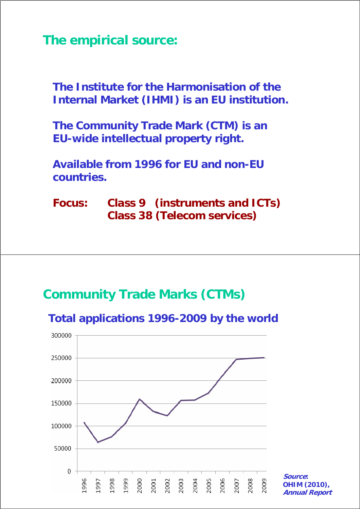**The empirical source:**

**The Institute for the Harmonisation of the Internal Market (IHMI) is an EU institution.**

**The Community Trade Mark (CTM) is an EU-wide intellectual property right.**

**Available from 1996 for EU and non-EU countries.**

#### **Focus: Class 9 (instruments and ICTs) Class 38 (Telecom services)**

### **Community Trade Marks (CTMs)**



**Total applications 1996-2009 by the world**

**Source: OHIM (2010), Annual Report**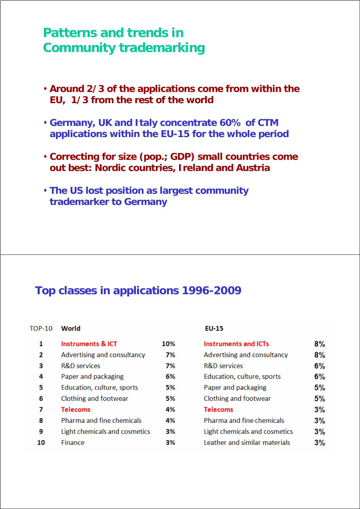### **Patterns and trends in Community trademarking**

- **Around 2/3 of the applications come from within the EU, 1/3 from the rest of the world**
- **Germany, UK and Italy concentrate 60% of CTM applications within the EU-15 for the whole period**
- **Correcting for size (pop.; GDP) small countries come out best: Nordic countries, Ireland and Austria**
- **The US lost position as largest community trademarker to Germany**

#### **Top classes in applications 1996-2009**

#### TOP-10 World

| 1  | <b>Instruments &amp; ICT</b>  | 10% |
|----|-------------------------------|-----|
| 2  | Advertising and consultancy   | 7%  |
| з  | <b>R&amp;D</b> services       | 7%  |
| 4  | Paper and packaging           | 6%  |
| 5  | Education, culture, sports    | 5%  |
| 6  | Clothing and footwear         | 5%  |
| 7  | <b>Telecoms</b>               | 4%  |
| 8  | Pharma and fine chemicals     | 4%  |
| 9  | Light chemicals and cosmetics | 3%  |
| 10 | Finance                       | 3%  |

#### **EU-15**

| <b>Instruments and ICTs</b>   | 8% |
|-------------------------------|----|
| Advertising and consultancy   | 8% |
| <b>R&amp;D</b> services       | 6% |
| Education, culture, sports    | 6% |
| Paper and packaging           | 5% |
| Clothing and footwear         | 5% |
| <b>Telecoms</b>               | 3% |
| Pharma and fine chemicals     | 3% |
| Light chemicals and cosmetics | 3% |
| Leather and similar materials |    |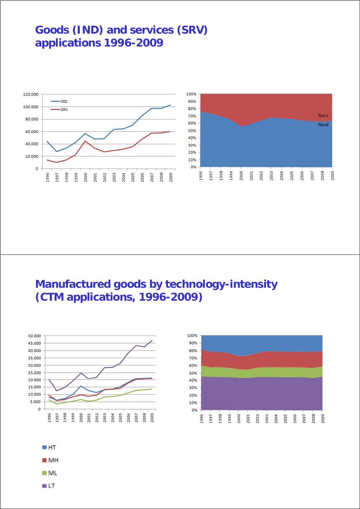#### **Goods (IND) and services (SRV) applications 1996-2009**



#### **Manufactured goods by technology-intensity (CTM applications, 1996-2009)**



≣ LT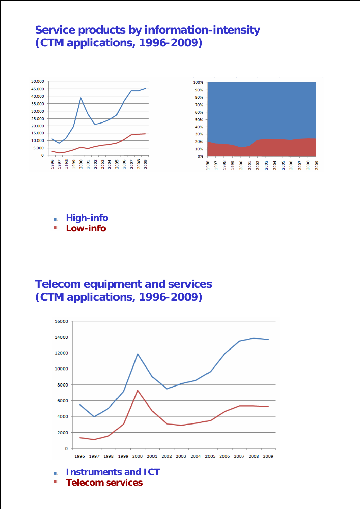#### **Service products by information-intensity (CTM applications, 1996-2009)**



- **High-info** п,
- **Low-info** Ì.

#### **Telecom equipment and services (CTM applications, 1996-2009)**



- **Instruments and ICT** à.
- × **Telecom services**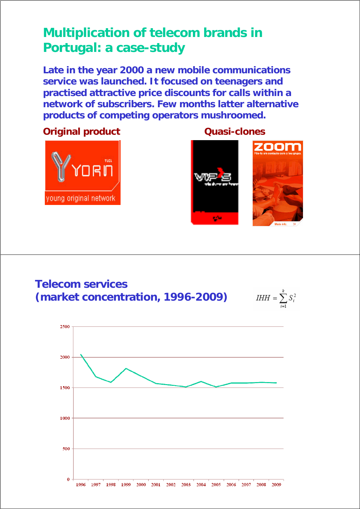### **Multiplication of telecom brands in Portugal: a case-study**

**Late in the year 2000 a new mobile communications service was launched. It focused on teenagers and practised attractive price discounts for calls within a network of subscribers. Few months latter alternative products of competing operators mushroomed.** 

**Original product Cuasi-clones** 







$$
IHH = \sum_{i=1}^{k} S_i^2
$$

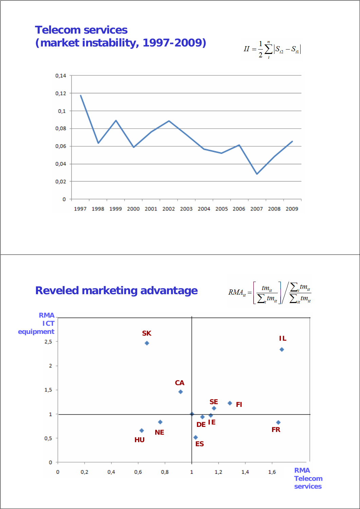





**Reveled marketing advantage**